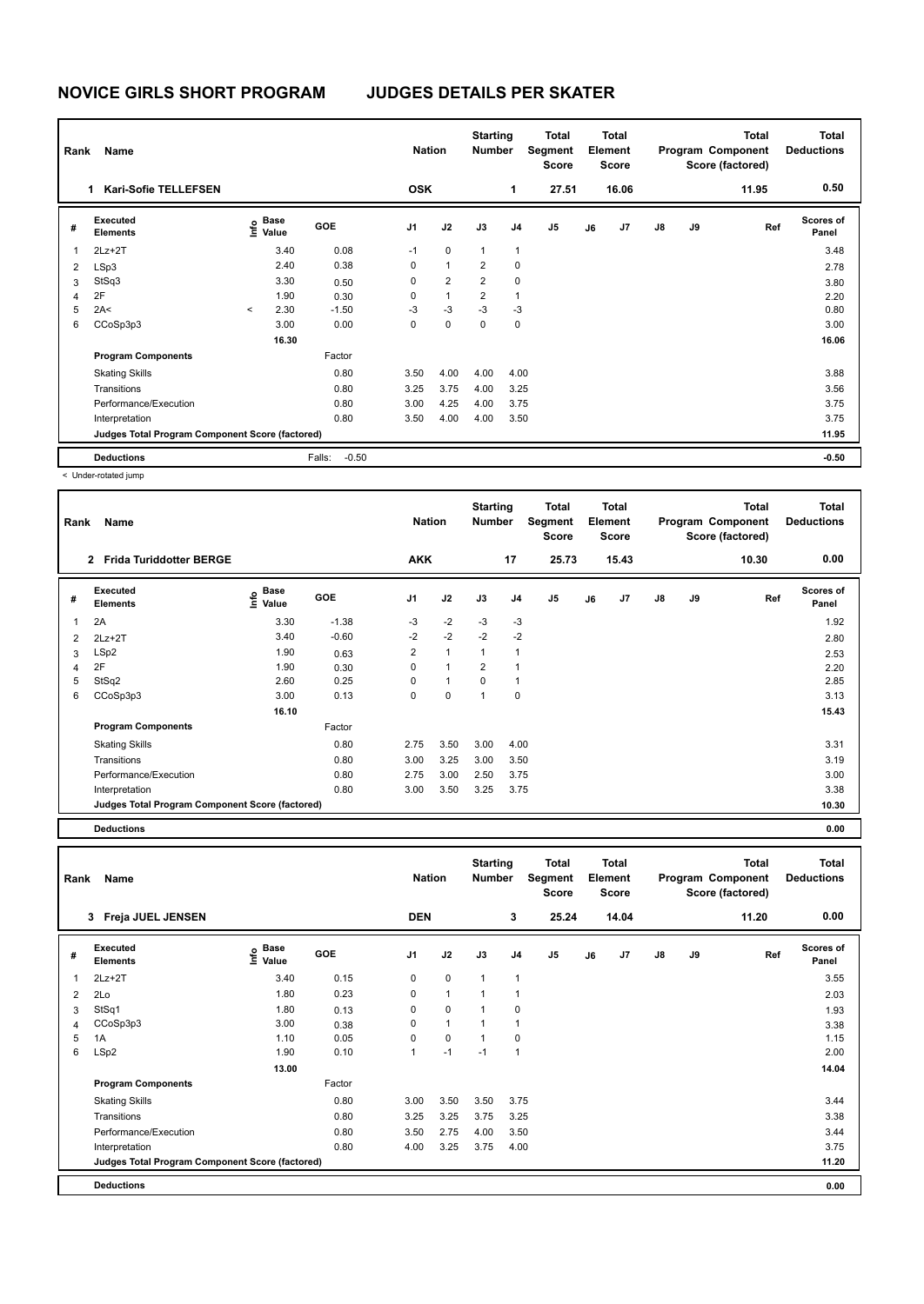| Rank | Name                                            |         |                                             |                   | <b>Nation</b>  |                | <b>Starting</b><br><b>Number</b> |      | Total<br>Segment<br><b>Score</b> |    | <b>Total</b><br>Element<br><b>Score</b> |    |    | <b>Total</b><br>Program Component<br>Score (factored) | <b>Total</b><br><b>Deductions</b> |
|------|-------------------------------------------------|---------|---------------------------------------------|-------------------|----------------|----------------|----------------------------------|------|----------------------------------|----|-----------------------------------------|----|----|-------------------------------------------------------|-----------------------------------|
|      | <b>Kari-Sofie TELLEFSEN</b><br>1                |         |                                             |                   | <b>OSK</b>     |                |                                  | 1    | 27.51                            |    | 16.06                                   |    |    | 11.95                                                 | 0.50                              |
| #    | <b>Executed</b><br><b>Elements</b>              |         | <b>Base</b><br>e <sup>Base</sup><br>⊆ Value | <b>GOE</b>        | J <sub>1</sub> | J2             | J3                               | J4   | J <sub>5</sub>                   | J6 | J <sub>7</sub>                          | J8 | J9 | Ref                                                   | <b>Scores of</b><br>Panel         |
| 1    | $2Lz + 2T$                                      |         | 3.40                                        | 0.08              | $-1$           | $\mathbf 0$    | $\mathbf{1}$                     | 1    |                                  |    |                                         |    |    |                                                       | 3.48                              |
| 2    | LSp3                                            |         | 2.40                                        | 0.38              | 0              | $\mathbf{1}$   | $\overline{2}$                   | 0    |                                  |    |                                         |    |    |                                                       | 2.78                              |
| 3    | StSq3                                           |         | 3.30                                        | 0.50              | 0              | $\overline{2}$ | $\overline{2}$                   | 0    |                                  |    |                                         |    |    |                                                       | 3.80                              |
| 4    | 2F                                              |         | 1.90                                        | 0.30              | 0              | $\mathbf{1}$   | $\overline{2}$                   | 1    |                                  |    |                                         |    |    |                                                       | 2.20                              |
| 5    | 2A<                                             | $\prec$ | 2.30                                        | $-1.50$           | $-3$           | $-3$           | $-3$                             | $-3$ |                                  |    |                                         |    |    |                                                       | 0.80                              |
| 6    | CCoSp3p3                                        |         | 3.00                                        | 0.00              | 0              | 0              | 0                                | 0    |                                  |    |                                         |    |    |                                                       | 3.00                              |
|      |                                                 |         | 16.30                                       |                   |                |                |                                  |      |                                  |    |                                         |    |    |                                                       | 16.06                             |
|      | <b>Program Components</b>                       |         |                                             | Factor            |                |                |                                  |      |                                  |    |                                         |    |    |                                                       |                                   |
|      | <b>Skating Skills</b>                           |         |                                             | 0.80              | 3.50           | 4.00           | 4.00                             | 4.00 |                                  |    |                                         |    |    |                                                       | 3.88                              |
|      | Transitions                                     |         |                                             | 0.80              | 3.25           | 3.75           | 4.00                             | 3.25 |                                  |    |                                         |    |    |                                                       | 3.56                              |
|      | Performance/Execution                           |         |                                             | 0.80              | 3.00           | 4.25           | 4.00                             | 3.75 |                                  |    |                                         |    |    |                                                       | 3.75                              |
|      | Interpretation                                  |         |                                             | 0.80              | 3.50           | 4.00           | 4.00                             | 3.50 |                                  |    |                                         |    |    |                                                       | 3.75                              |
|      | Judges Total Program Component Score (factored) |         |                                             |                   |                |                |                                  |      |                                  |    |                                         |    |    |                                                       | 11.95                             |
|      | <b>Deductions</b>                               |         |                                             | $-0.50$<br>Falls: |                |                |                                  |      |                                  |    |                                         |    |    |                                                       | $-0.50$                           |

< Under-rotated jump

| Rank                     | Name                                            |                       |            | <b>Nation</b>  |              | <b>Starting</b><br><b>Number</b> |                | Total<br>Segment<br><b>Score</b> |    | <b>Total</b><br>Element<br><b>Score</b> |               |    | <b>Total</b><br>Program Component<br>Score (factored) | <b>Total</b><br><b>Deductions</b> |
|--------------------------|-------------------------------------------------|-----------------------|------------|----------------|--------------|----------------------------------|----------------|----------------------------------|----|-----------------------------------------|---------------|----|-------------------------------------------------------|-----------------------------------|
|                          | 2 Frida Turiddotter BERGE                       |                       |            | <b>AKK</b>     |              |                                  | 17             | 25.73                            |    | 15.43                                   |               |    | 10.30                                                 | 0.00                              |
| #                        | Executed<br><b>Elements</b>                     | Base<br>Info<br>Value | <b>GOE</b> | J <sub>1</sub> | J2           | J3                               | J <sub>4</sub> | J <sub>5</sub>                   | J6 | J <sub>7</sub>                          | $\mathsf{J}8$ | J9 | Ref                                                   | <b>Scores of</b><br>Panel         |
| $\overline{\phantom{a}}$ | 2A                                              | 3.30                  | $-1.38$    | $-3$           | $-2$         | $-3$                             | $-3$           |                                  |    |                                         |               |    |                                                       | 1.92                              |
| 2                        | $2Lz+2T$                                        | 3.40                  | $-0.60$    | $-2$           | $-2$         | $-2$                             | $-2$           |                                  |    |                                         |               |    |                                                       | 2.80                              |
| 3                        | LSp2                                            | 1.90                  | 0.63       | $\overline{2}$ | $\mathbf{1}$ | $\mathbf{1}$                     | 1              |                                  |    |                                         |               |    |                                                       | 2.53                              |
| 4                        | 2F                                              | 1.90                  | 0.30       | $\Omega$       | 1            | $\overline{2}$                   | 1              |                                  |    |                                         |               |    |                                                       | 2.20                              |
| 5                        | StSq2                                           | 2.60                  | 0.25       | $\Omega$       | 1            | $\Omega$                         |                |                                  |    |                                         |               |    |                                                       | 2.85                              |
| 6                        | CCoSp3p3                                        | 3.00                  | 0.13       | $\Omega$       | $\Omega$     | $\overline{1}$                   | $\Omega$       |                                  |    |                                         |               |    |                                                       | 3.13                              |
|                          |                                                 | 16.10                 |            |                |              |                                  |                |                                  |    |                                         |               |    |                                                       | 15.43                             |
|                          | <b>Program Components</b>                       |                       | Factor     |                |              |                                  |                |                                  |    |                                         |               |    |                                                       |                                   |
|                          | <b>Skating Skills</b>                           |                       | 0.80       | 2.75           | 3.50         | 3.00                             | 4.00           |                                  |    |                                         |               |    |                                                       | 3.31                              |
|                          | Transitions                                     |                       | 0.80       | 3.00           | 3.25         | 3.00                             | 3.50           |                                  |    |                                         |               |    |                                                       | 3.19                              |
|                          | Performance/Execution                           |                       | 0.80       | 2.75           | 3.00         | 2.50                             | 3.75           |                                  |    |                                         |               |    |                                                       | 3.00                              |
|                          | Interpretation                                  |                       | 0.80       | 3.00           | 3.50         | 3.25                             | 3.75           |                                  |    |                                         |               |    |                                                       | 3.38                              |
|                          | Judges Total Program Component Score (factored) |                       |            |                |              |                                  |                |                                  |    |                                         |               |    |                                                       | 10.30                             |

**Deductions 0.00**

| Rank | Name                                            |                    |        | <b>Nation</b>  |              | <b>Starting</b><br><b>Number</b> |                | <b>Total</b><br>Segment<br>Score |    | <b>Total</b><br>Element<br><b>Score</b> |               |    | <b>Total</b><br>Program Component<br>Score (factored) | <b>Total</b><br><b>Deductions</b> |
|------|-------------------------------------------------|--------------------|--------|----------------|--------------|----------------------------------|----------------|----------------------------------|----|-----------------------------------------|---------------|----|-------------------------------------------------------|-----------------------------------|
|      | 3 Freja JUEL JENSEN                             |                    |        | <b>DEN</b>     |              |                                  | 3              | 25.24                            |    | 14.04                                   |               |    | 11.20                                                 | 0.00                              |
| #    | <b>Executed</b><br><b>Elements</b>              | $\frac{e}{E}$ Base | GOE    | J <sub>1</sub> | J2           | J3                               | J <sub>4</sub> | J <sub>5</sub>                   | J6 | J <sub>7</sub>                          | $\mathsf{J}8$ | J9 | Ref                                                   | <b>Scores of</b><br>Panel         |
| 1    | $2Lz+2T$                                        | 3.40               | 0.15   | 0              | $\mathbf 0$  | 1                                | -1             |                                  |    |                                         |               |    |                                                       | 3.55                              |
| 2    | 2Lo                                             | 1.80               | 0.23   | 0              | $\mathbf{1}$ | 1                                | 1              |                                  |    |                                         |               |    |                                                       | 2.03                              |
| 3    | StSq1                                           | 1.80               | 0.13   | 0              | $\mathbf 0$  | 1                                | 0              |                                  |    |                                         |               |    |                                                       | 1.93                              |
| 4    | CCoSp3p3                                        | 3.00               | 0.38   | 0              | $\mathbf{1}$ | 1                                | 1              |                                  |    |                                         |               |    |                                                       | 3.38                              |
| 5    | 1A                                              | 1.10               | 0.05   | $\Omega$       | $\mathbf 0$  | 1                                | $\Omega$       |                                  |    |                                         |               |    |                                                       | 1.15                              |
| 6    | LSp2                                            | 1.90               | 0.10   | $\mathbf{1}$   | $-1$         | $-1$                             | $\mathbf{1}$   |                                  |    |                                         |               |    |                                                       | 2.00                              |
|      |                                                 | 13.00              |        |                |              |                                  |                |                                  |    |                                         |               |    |                                                       | 14.04                             |
|      | <b>Program Components</b>                       |                    | Factor |                |              |                                  |                |                                  |    |                                         |               |    |                                                       |                                   |
|      | <b>Skating Skills</b>                           |                    | 0.80   | 3.00           | 3.50         | 3.50                             | 3.75           |                                  |    |                                         |               |    |                                                       | 3.44                              |
|      | Transitions                                     |                    | 0.80   | 3.25           | 3.25         | 3.75                             | 3.25           |                                  |    |                                         |               |    |                                                       | 3.38                              |
|      | Performance/Execution                           |                    | 0.80   | 3.50           | 2.75         | 4.00                             | 3.50           |                                  |    |                                         |               |    |                                                       | 3.44                              |
|      | Interpretation                                  |                    | 0.80   | 4.00           | 3.25         | 3.75                             | 4.00           |                                  |    |                                         |               |    |                                                       | 3.75                              |
|      | Judges Total Program Component Score (factored) |                    |        |                |              |                                  |                |                                  |    |                                         |               |    |                                                       | 11.20                             |
|      | <b>Deductions</b>                               |                    |        |                |              |                                  |                |                                  |    |                                         |               |    |                                                       | 0.00                              |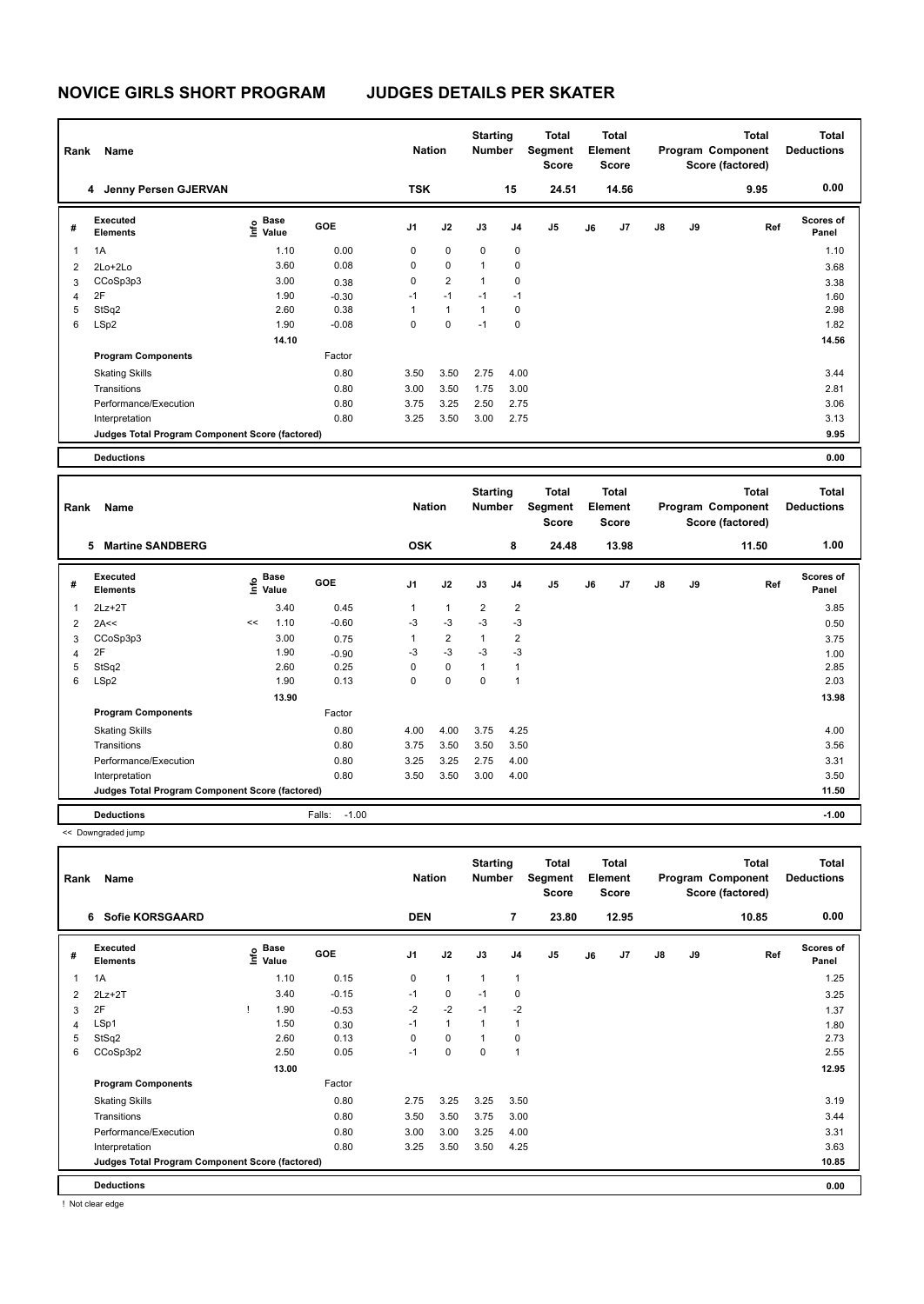| Rank | Name                                            |                                    |            | <b>Nation</b>  |                | <b>Starting</b><br><b>Number</b> |                | Total<br>Segment<br><b>Score</b> |    | <b>Total</b><br>Element<br><b>Score</b> |               |    | <b>Total</b><br>Program Component<br>Score (factored) | <b>Total</b><br><b>Deductions</b> |
|------|-------------------------------------------------|------------------------------------|------------|----------------|----------------|----------------------------------|----------------|----------------------------------|----|-----------------------------------------|---------------|----|-------------------------------------------------------|-----------------------------------|
|      | Jenny Persen GJERVAN<br>4                       |                                    |            | <b>TSK</b>     |                |                                  | 15             | 24.51                            |    | 14.56                                   |               |    | 9.95                                                  | 0.00                              |
| #    | Executed<br><b>Elements</b>                     | <b>Base</b><br>$\frac{6}{5}$ Value | <b>GOE</b> | J <sub>1</sub> | J2             | J3                               | J <sub>4</sub> | J <sub>5</sub>                   | J6 | J <sub>7</sub>                          | $\mathsf{J}8$ | J9 | Ref                                                   | <b>Scores of</b><br>Panel         |
| 1    | 1A                                              | 1.10                               | 0.00       | 0              | $\mathbf 0$    | $\mathbf 0$                      | $\mathbf 0$    |                                  |    |                                         |               |    |                                                       | 1.10                              |
| 2    | $2Lo+2Lo$                                       | 3.60                               | 0.08       | 0              | $\mathbf 0$    | 1                                | 0              |                                  |    |                                         |               |    |                                                       | 3.68                              |
| 3    | CCoSp3p3                                        | 3.00                               | 0.38       | 0              | $\overline{2}$ | $\mathbf{1}$                     | 0              |                                  |    |                                         |               |    |                                                       | 3.38                              |
| 4    | 2F                                              | 1.90                               | $-0.30$    | $-1$           | $-1$           | $-1$                             | $-1$           |                                  |    |                                         |               |    |                                                       | 1.60                              |
| 5    | StSq2                                           | 2.60                               | 0.38       | 1              | $\mathbf{1}$   | $\mathbf{1}$                     | $\Omega$       |                                  |    |                                         |               |    |                                                       | 2.98                              |
| 6    | LSp2                                            | 1.90                               | $-0.08$    | 0              | $\mathbf 0$    | $-1$                             | 0              |                                  |    |                                         |               |    |                                                       | 1.82                              |
|      |                                                 | 14.10                              |            |                |                |                                  |                |                                  |    |                                         |               |    |                                                       | 14.56                             |
|      | <b>Program Components</b>                       |                                    | Factor     |                |                |                                  |                |                                  |    |                                         |               |    |                                                       |                                   |
|      | <b>Skating Skills</b>                           |                                    | 0.80       | 3.50           | 3.50           | 2.75                             | 4.00           |                                  |    |                                         |               |    |                                                       | 3.44                              |
|      | Transitions                                     |                                    | 0.80       | 3.00           | 3.50           | 1.75                             | 3.00           |                                  |    |                                         |               |    |                                                       | 2.81                              |
|      | Performance/Execution                           |                                    | 0.80       | 3.75           | 3.25           | 2.50                             | 2.75           |                                  |    |                                         |               |    |                                                       | 3.06                              |
|      | Interpretation                                  |                                    | 0.80       | 3.25           | 3.50           | 3.00                             | 2.75           |                                  |    |                                         |               |    |                                                       | 3.13                              |
|      | Judges Total Program Component Score (factored) |                                    |            |                |                |                                  |                |                                  |    |                                         |               |    |                                                       | 9.95                              |
|      | <b>Deductions</b>                               |                                    |            |                |                |                                  |                |                                  |    |                                         |               |    |                                                       | 0.00                              |

| Rank | Name                                            |    |                                  |                   | <b>Nation</b>  |                | <b>Starting</b><br><b>Number</b> |                | <b>Total</b><br>Segment<br><b>Score</b> |    | Total<br>Element<br>Score |               |    | <b>Total</b><br>Program Component<br>Score (factored) | <b>Total</b><br><b>Deductions</b> |
|------|-------------------------------------------------|----|----------------------------------|-------------------|----------------|----------------|----------------------------------|----------------|-----------------------------------------|----|---------------------------|---------------|----|-------------------------------------------------------|-----------------------------------|
|      | <b>Martine SANDBERG</b><br>5                    |    |                                  |                   | <b>OSK</b>     |                |                                  | 8              | 24.48                                   |    | 13.98                     |               |    | 11.50                                                 | 1.00                              |
| #    | Executed<br><b>Elements</b>                     |    | <b>Base</b><br>e Base<br>⊆ Value | <b>GOE</b>        | J <sub>1</sub> | J2             | J3                               | J <sub>4</sub> | J <sub>5</sub>                          | J6 | J7                        | $\mathsf{J}8$ | J9 | Ref                                                   | Scores of<br>Panel                |
| 1    | $2Lz+2T$                                        |    | 3.40                             | 0.45              | 1              | $\mathbf{1}$   | $\overline{2}$                   | $\overline{2}$ |                                         |    |                           |               |    |                                                       | 3.85                              |
| 2    | 2A<<                                            | << | 1.10                             | $-0.60$           | $-3$           | $-3$           | $-3$                             | $-3$           |                                         |    |                           |               |    |                                                       | 0.50                              |
| 3    | CCoSp3p3                                        |    | 3.00                             | 0.75              | 1              | $\overline{2}$ | 1                                | 2              |                                         |    |                           |               |    |                                                       | 3.75                              |
| 4    | 2F                                              |    | 1.90                             | $-0.90$           | -3             | $-3$           | $-3$                             | $-3$           |                                         |    |                           |               |    |                                                       | 1.00                              |
| 5    | StSq2                                           |    | 2.60                             | 0.25              | $\Omega$       | $\mathbf 0$    | $\overline{1}$                   |                |                                         |    |                           |               |    |                                                       | 2.85                              |
| 6    | LSp2                                            |    | 1.90                             | 0.13              | 0              | 0              | 0                                |                |                                         |    |                           |               |    |                                                       | 2.03                              |
|      |                                                 |    | 13.90                            |                   |                |                |                                  |                |                                         |    |                           |               |    |                                                       | 13.98                             |
|      | <b>Program Components</b>                       |    |                                  | Factor            |                |                |                                  |                |                                         |    |                           |               |    |                                                       |                                   |
|      | <b>Skating Skills</b>                           |    |                                  | 0.80              | 4.00           | 4.00           | 3.75                             | 4.25           |                                         |    |                           |               |    |                                                       | 4.00                              |
|      | Transitions                                     |    |                                  | 0.80              | 3.75           | 3.50           | 3.50                             | 3.50           |                                         |    |                           |               |    |                                                       | 3.56                              |
|      | Performance/Execution                           |    |                                  | 0.80              | 3.25           | 3.25           | 2.75                             | 4.00           |                                         |    |                           |               |    |                                                       | 3.31                              |
|      | Interpretation                                  |    |                                  | 0.80              | 3.50           | 3.50           | 3.00                             | 4.00           |                                         |    |                           |               |    |                                                       | 3.50                              |
|      | Judges Total Program Component Score (factored) |    |                                  |                   |                |                |                                  |                |                                         |    |                           |               |    |                                                       | 11.50                             |
|      | <b>Deductions</b>                               |    |                                  | $-1.00$<br>Falls: |                |                |                                  |                |                                         |    |                           |               |    |                                                       | $-1.00$                           |

<< Downgraded jump

| Rank | Name                                            |      |                      |         | <b>Nation</b>  |                | <b>Starting</b><br><b>Number</b> |                | <b>Total</b><br>Segment<br>Score |    | <b>Total</b><br>Element<br><b>Score</b> |               |    | Total<br>Program Component<br>Score (factored) | <b>Total</b><br><b>Deductions</b> |
|------|-------------------------------------------------|------|----------------------|---------|----------------|----------------|----------------------------------|----------------|----------------------------------|----|-----------------------------------------|---------------|----|------------------------------------------------|-----------------------------------|
|      | <b>Sofie KORSGAARD</b><br>6                     |      |                      |         | <b>DEN</b>     |                |                                  | 7              | 23.80                            |    | 12.95                                   |               |    | 10.85                                          | 0.00                              |
| #    | <b>Executed</b><br><b>Elements</b>              | lnfo | <b>Base</b><br>Value | GOE     | J <sub>1</sub> | J2             | J3                               | J <sub>4</sub> | J <sub>5</sub>                   | J6 | J <sub>7</sub>                          | $\mathsf{J}8$ | J9 | Ref                                            | Scores of<br>Panel                |
| 1    | 1A                                              |      | 1.10                 | 0.15    | 0              | $\overline{1}$ | $\overline{1}$                   | $\overline{1}$ |                                  |    |                                         |               |    |                                                | 1.25                              |
| 2    | $2Lz+2T$                                        |      | 3.40                 | $-0.15$ | $-1$           | 0              | $-1$                             | 0              |                                  |    |                                         |               |    |                                                | 3.25                              |
| 3    | 2F                                              |      | 1.90                 | $-0.53$ | $-2$           | $-2$           | $-1$                             | $-2$           |                                  |    |                                         |               |    |                                                | 1.37                              |
| 4    | LSp1                                            |      | 1.50                 | 0.30    | $-1$           | $\mathbf{1}$   | 1                                | 1              |                                  |    |                                         |               |    |                                                | 1.80                              |
| 5    | StSq2                                           |      | 2.60                 | 0.13    | 0              | $\mathbf 0$    | 1                                | 0              |                                  |    |                                         |               |    |                                                | 2.73                              |
| 6    | CCoSp3p2                                        |      | 2.50                 | 0.05    | $-1$           | $\mathbf 0$    | $\mathbf 0$                      | $\overline{1}$ |                                  |    |                                         |               |    |                                                | 2.55                              |
|      |                                                 |      | 13.00                |         |                |                |                                  |                |                                  |    |                                         |               |    |                                                | 12.95                             |
|      | <b>Program Components</b>                       |      |                      | Factor  |                |                |                                  |                |                                  |    |                                         |               |    |                                                |                                   |
|      | <b>Skating Skills</b>                           |      |                      | 0.80    | 2.75           | 3.25           | 3.25                             | 3.50           |                                  |    |                                         |               |    |                                                | 3.19                              |
|      | Transitions                                     |      |                      | 0.80    | 3.50           | 3.50           | 3.75                             | 3.00           |                                  |    |                                         |               |    |                                                | 3.44                              |
|      | Performance/Execution                           |      |                      | 0.80    | 3.00           | 3.00           | 3.25                             | 4.00           |                                  |    |                                         |               |    |                                                | 3.31                              |
|      | Interpretation                                  |      |                      | 0.80    | 3.25           | 3.50           | 3.50                             | 4.25           |                                  |    |                                         |               |    |                                                | 3.63                              |
|      | Judges Total Program Component Score (factored) |      |                      |         |                |                |                                  |                |                                  |    |                                         |               |    |                                                | 10.85                             |
|      | <b>Deductions</b>                               |      |                      |         |                |                |                                  |                |                                  |    |                                         |               |    |                                                | 0.00                              |

! Not clear edge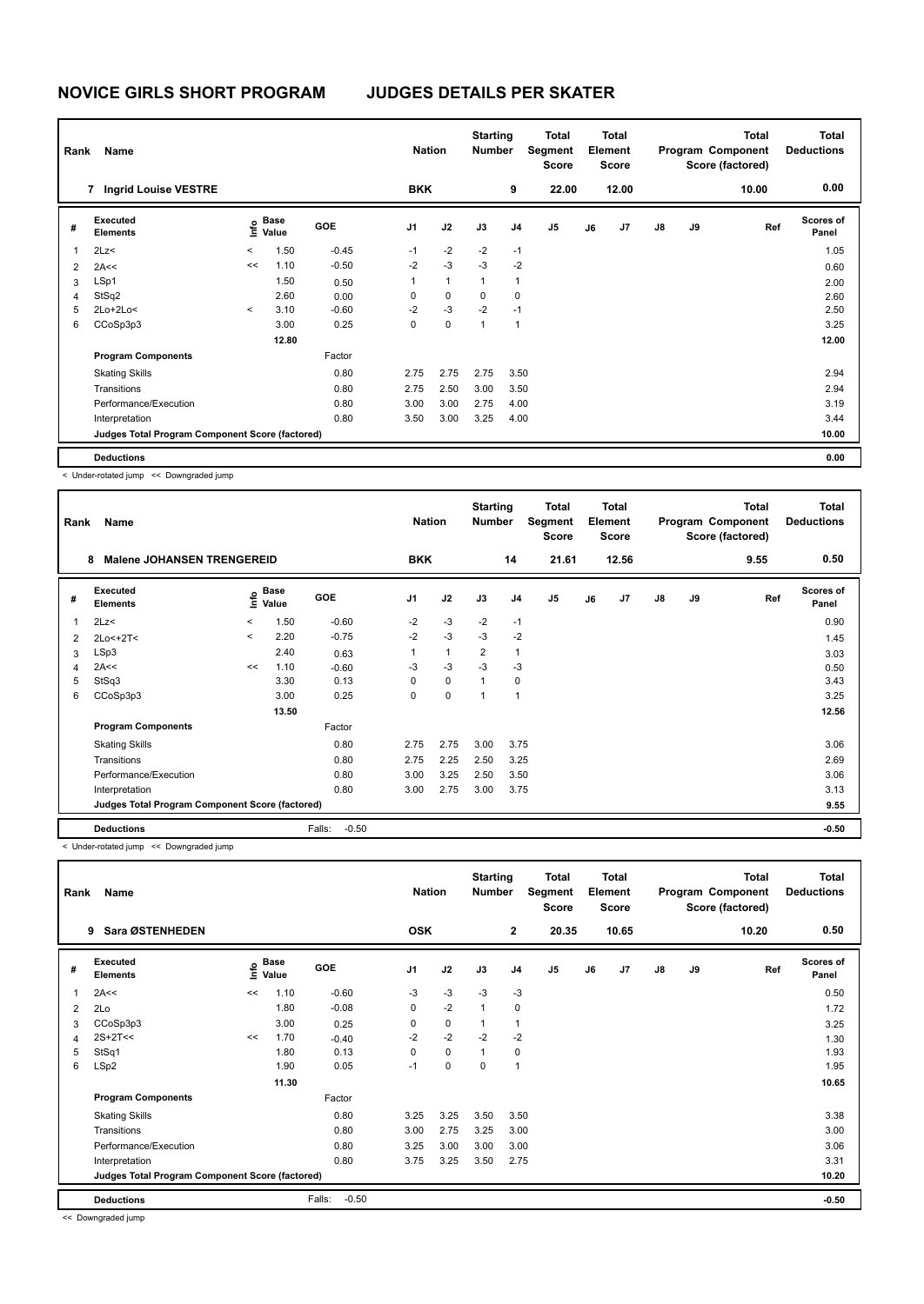| Rank           | Name                                            |         |                      |            | <b>Nation</b>  |              | <b>Starting</b><br><b>Number</b> |                | <b>Total</b><br>Segment<br><b>Score</b> |    | <b>Total</b><br>Element<br><b>Score</b> |               |    | Total<br>Program Component<br>Score (factored) | <b>Total</b><br><b>Deductions</b> |
|----------------|-------------------------------------------------|---------|----------------------|------------|----------------|--------------|----------------------------------|----------------|-----------------------------------------|----|-----------------------------------------|---------------|----|------------------------------------------------|-----------------------------------|
|                | 7 Ingrid Louise VESTRE                          |         |                      |            | <b>BKK</b>     |              |                                  | 9              | 22.00                                   |    | 12.00                                   |               |    | 10.00                                          | 0.00                              |
| #              | Executed<br><b>Elements</b>                     | lnfo    | <b>Base</b><br>Value | <b>GOE</b> | J <sub>1</sub> | J2           | J3                               | J <sub>4</sub> | J5                                      | J6 | J7                                      | $\mathsf{J}8$ | J9 | Ref                                            | <b>Scores of</b><br>Panel         |
| 1              | 2Lz<                                            | $\,<$   | 1.50                 | $-0.45$    | $-1$           | $-2$         | $-2$                             | $-1$           |                                         |    |                                         |               |    |                                                | 1.05                              |
| $\overline{2}$ | 2A<<                                            | <<      | 1.10                 | $-0.50$    | $-2$           | $-3$         | $-3$                             | $-2$           |                                         |    |                                         |               |    |                                                | 0.60                              |
| 3              | LSp1                                            |         | 1.50                 | 0.50       | 1              | $\mathbf{1}$ | 1                                | 1              |                                         |    |                                         |               |    |                                                | 2.00                              |
| 4              | StSq2                                           |         | 2.60                 | 0.00       | 0              | 0            | 0                                | 0              |                                         |    |                                         |               |    |                                                | 2.60                              |
| 5              | $2Lo+2Lo<$                                      | $\prec$ | 3.10                 | $-0.60$    | $-2$           | $-3$         | $-2$                             | $-1$           |                                         |    |                                         |               |    |                                                | 2.50                              |
| 6              | CCoSp3p3                                        |         | 3.00                 | 0.25       | 0              | 0            | 1                                | $\overline{1}$ |                                         |    |                                         |               |    |                                                | 3.25                              |
|                |                                                 |         | 12.80                |            |                |              |                                  |                |                                         |    |                                         |               |    |                                                | 12.00                             |
|                | <b>Program Components</b>                       |         |                      | Factor     |                |              |                                  |                |                                         |    |                                         |               |    |                                                |                                   |
|                | <b>Skating Skills</b>                           |         |                      | 0.80       | 2.75           | 2.75         | 2.75                             | 3.50           |                                         |    |                                         |               |    |                                                | 2.94                              |
|                | Transitions                                     |         |                      | 0.80       | 2.75           | 2.50         | 3.00                             | 3.50           |                                         |    |                                         |               |    |                                                | 2.94                              |
|                | Performance/Execution                           |         |                      | 0.80       | 3.00           | 3.00         | 2.75                             | 4.00           |                                         |    |                                         |               |    |                                                | 3.19                              |
|                | Interpretation                                  |         |                      | 0.80       | 3.50           | 3.00         | 3.25                             | 4.00           |                                         |    |                                         |               |    |                                                | 3.44                              |
|                | Judges Total Program Component Score (factored) |         |                      |            |                |              |                                  |                |                                         |    |                                         |               |    |                                                | 10.00                             |
|                | <b>Deductions</b>                               |         |                      |            |                |              |                                  |                |                                         |    |                                         |               |    |                                                | 0.00                              |

< Under-rotated jump << Downgraded jump

| Rank           | Name<br><b>Malene JOHANSEN TRENGEREID</b><br>8  |              |                      |                   | <b>Nation</b>  |              | <b>Starting</b><br><b>Number</b> |                | Total<br>Segment<br><b>Score</b> |    | <b>Total</b><br>Element<br><b>Score</b> |               |    | <b>Total</b><br>Program Component<br>Score (factored) | <b>Total</b><br><b>Deductions</b> |
|----------------|-------------------------------------------------|--------------|----------------------|-------------------|----------------|--------------|----------------------------------|----------------|----------------------------------|----|-----------------------------------------|---------------|----|-------------------------------------------------------|-----------------------------------|
|                |                                                 |              |                      |                   | <b>BKK</b>     |              |                                  | 14             | 21.61                            |    | 12.56                                   |               |    | 9.55                                                  | 0.50                              |
| #              | Executed<br><b>Elements</b>                     | ۴٥           | <b>Base</b><br>Value | <b>GOE</b>        | J <sub>1</sub> | J2           | J3                               | J <sub>4</sub> | J <sub>5</sub>                   | J6 | J7                                      | $\mathsf{J}8$ | J9 | Ref                                                   | Scores of<br>Panel                |
| $\overline{1}$ | 2Lz                                             | $\checkmark$ | 1.50                 | $-0.60$           | $-2$           | $-3$         | $-2$                             | $-1$           |                                  |    |                                         |               |    |                                                       | 0.90                              |
| $\overline{2}$ | $2Lo<+2T<$                                      | $\checkmark$ | 2.20                 | $-0.75$           | $-2$           | $-3$         | $-3$                             | $-2$           |                                  |    |                                         |               |    |                                                       | 1.45                              |
| 3              | LSp3                                            |              | 2.40                 | 0.63              | 1              | $\mathbf{1}$ | $\overline{2}$                   | $\overline{1}$ |                                  |    |                                         |               |    |                                                       | 3.03                              |
| 4              | 2A<<                                            | <<           | 1.10                 | $-0.60$           | -3             | $-3$         | $-3$                             | -3             |                                  |    |                                         |               |    |                                                       | 0.50                              |
| 5              | StSq3                                           |              | 3.30                 | 0.13              | 0              | $\mathbf 0$  | 1                                | 0              |                                  |    |                                         |               |    |                                                       | 3.43                              |
| 6              | CCoSp3p3                                        |              | 3.00                 | 0.25              | 0              | 0            | и                                | 1              |                                  |    |                                         |               |    |                                                       | 3.25                              |
|                |                                                 |              | 13.50                |                   |                |              |                                  |                |                                  |    |                                         |               |    |                                                       | 12.56                             |
|                | <b>Program Components</b>                       |              |                      | Factor            |                |              |                                  |                |                                  |    |                                         |               |    |                                                       |                                   |
|                | <b>Skating Skills</b>                           |              |                      | 0.80              | 2.75           | 2.75         | 3.00                             | 3.75           |                                  |    |                                         |               |    |                                                       | 3.06                              |
|                | Transitions                                     |              |                      | 0.80              | 2.75           | 2.25         | 2.50                             | 3.25           |                                  |    |                                         |               |    |                                                       | 2.69                              |
|                | Performance/Execution                           |              |                      | 0.80              | 3.00           | 3.25         | 2.50                             | 3.50           |                                  |    |                                         |               |    |                                                       | 3.06                              |
|                | Interpretation                                  |              |                      | 0.80              | 3.00           | 2.75         | 3.00                             | 3.75           |                                  |    |                                         |               |    |                                                       | 3.13                              |
|                | Judges Total Program Component Score (factored) |              |                      |                   |                |              |                                  |                |                                  |    |                                         |               |    |                                                       | 9.55                              |
|                | <b>Deductions</b>                               |              |                      | $-0.50$<br>Falls: |                |              |                                  |                |                                  |    |                                         |               |    |                                                       | $-0.50$                           |

< Under-rotated jump << Downgraded jump

| Rank | Name                                            |      |               |                   | <b>Nation</b>  |             | <b>Starting</b><br>Number |                          | <b>Total</b><br>Segment<br><b>Score</b> |    | Total<br>Element<br><b>Score</b> |               |    | <b>Total</b><br>Program Component<br>Score (factored) | <b>Total</b><br><b>Deductions</b> |
|------|-------------------------------------------------|------|---------------|-------------------|----------------|-------------|---------------------------|--------------------------|-----------------------------------------|----|----------------------------------|---------------|----|-------------------------------------------------------|-----------------------------------|
|      | Sara ØSTENHEDEN<br>9                            |      |               |                   | <b>OSK</b>     |             |                           | $\mathbf{2}$             | 20.35                                   |    | 10.65                            |               |    | 10.20                                                 | 0.50                              |
| #    | Executed<br><b>Elements</b>                     | ١nf٥ | Base<br>Value | <b>GOE</b>        | J <sub>1</sub> | J2          | J3                        | J <sub>4</sub>           | J5                                      | J6 | J7                               | $\mathsf{J}8$ | J9 | Ref                                                   | <b>Scores of</b><br>Panel         |
| 1    | 2A<<                                            | <<   | 1.10          | $-0.60$           | $-3$           | $-3$        | $-3$                      | $-3$                     |                                         |    |                                  |               |    |                                                       | 0.50                              |
| 2    | 2Lo                                             |      | 1.80          | $-0.08$           | 0              | $-2$        | $\overline{1}$            | 0                        |                                         |    |                                  |               |    |                                                       | 1.72                              |
| 3    | CCoSp3p3                                        |      | 3.00          | 0.25              | 0              | $\pmb{0}$   | 1                         | $\mathbf{1}$             |                                         |    |                                  |               |    |                                                       | 3.25                              |
| 4    | $2S+2T<<$                                       | <<   | 1.70          | $-0.40$           | $-2$           | $-2$        | $-2$                      | $-2$                     |                                         |    |                                  |               |    |                                                       | 1.30                              |
| 5    | StSq1                                           |      | 1.80          | 0.13              | 0              | $\mathbf 0$ | $\mathbf{1}$              | 0                        |                                         |    |                                  |               |    |                                                       | 1.93                              |
| 6    | LSp2                                            |      | 1.90          | 0.05              | $-1$           | $\mathbf 0$ | 0                         | $\overline{\phantom{a}}$ |                                         |    |                                  |               |    |                                                       | 1.95                              |
|      |                                                 |      | 11.30         |                   |                |             |                           |                          |                                         |    |                                  |               |    |                                                       | 10.65                             |
|      | <b>Program Components</b>                       |      |               | Factor            |                |             |                           |                          |                                         |    |                                  |               |    |                                                       |                                   |
|      | <b>Skating Skills</b>                           |      |               | 0.80              | 3.25           | 3.25        | 3.50                      | 3.50                     |                                         |    |                                  |               |    |                                                       | 3.38                              |
|      | Transitions                                     |      |               | 0.80              | 3.00           | 2.75        | 3.25                      | 3.00                     |                                         |    |                                  |               |    |                                                       | 3.00                              |
|      | Performance/Execution                           |      |               | 0.80              | 3.25           | 3.00        | 3.00                      | 3.00                     |                                         |    |                                  |               |    |                                                       | 3.06                              |
|      | Interpretation                                  |      |               | 0.80              | 3.75           | 3.25        | 3.50                      | 2.75                     |                                         |    |                                  |               |    |                                                       | 3.31                              |
|      | Judges Total Program Component Score (factored) |      |               |                   |                |             |                           |                          |                                         |    |                                  |               |    |                                                       | 10.20                             |
|      | <b>Deductions</b>                               |      |               | $-0.50$<br>Falls: |                |             |                           |                          |                                         |    |                                  |               |    |                                                       | $-0.50$                           |

<< Downgraded jump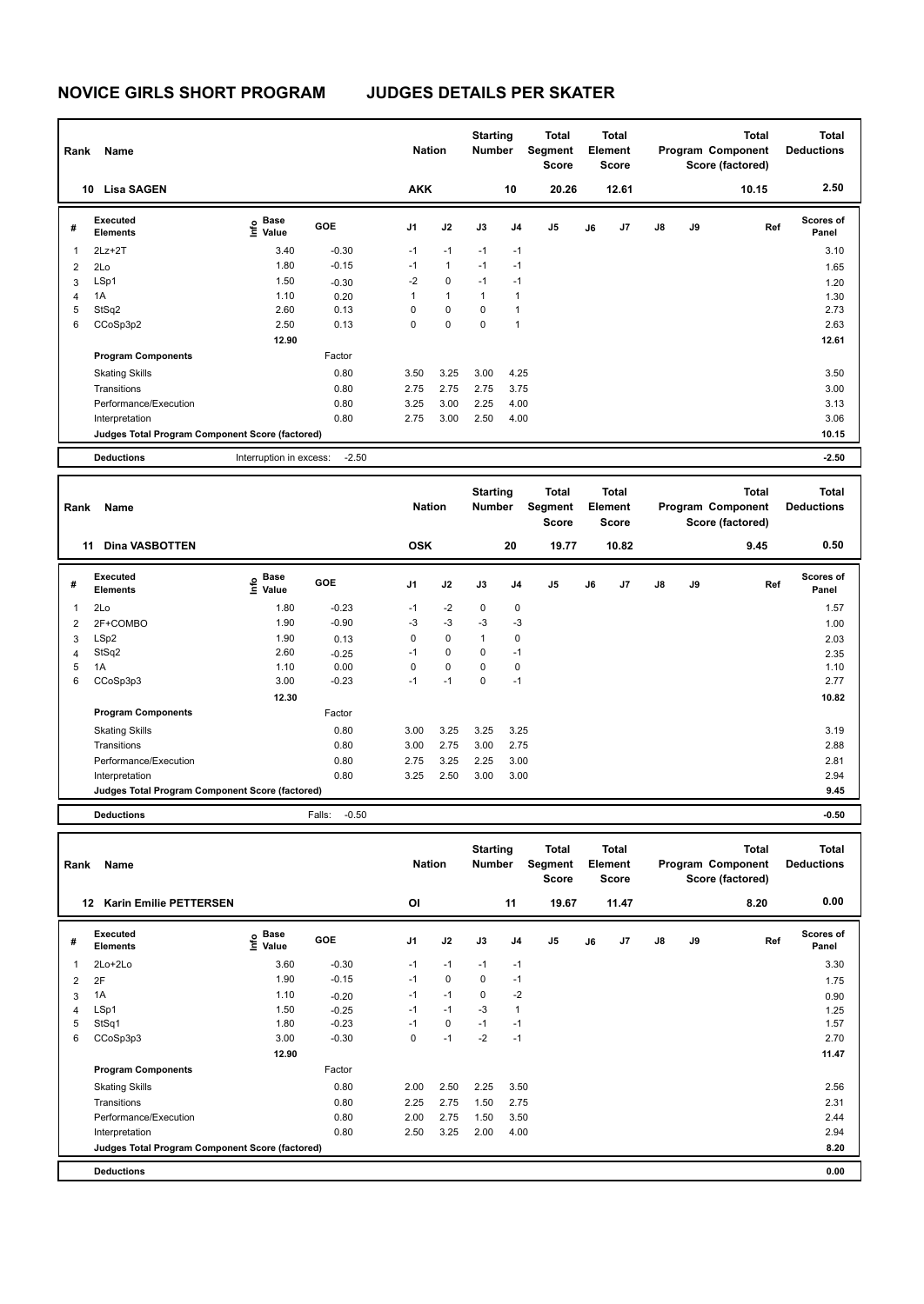| Rank           | Name                                            |                                             |            | <b>Nation</b>  |              | <b>Starting</b><br><b>Number</b> |                | <b>Total</b><br>Segment<br><b>Score</b> |    | <b>Total</b><br>Element<br><b>Score</b> |               |    | <b>Total</b><br>Program Component<br>Score (factored) | <b>Total</b><br><b>Deductions</b> |
|----------------|-------------------------------------------------|---------------------------------------------|------------|----------------|--------------|----------------------------------|----------------|-----------------------------------------|----|-----------------------------------------|---------------|----|-------------------------------------------------------|-----------------------------------|
|                | <b>Lisa SAGEN</b><br>10                         |                                             |            | <b>AKK</b>     |              |                                  | 10             | 20.26                                   |    | 12.61                                   |               |    | 10.15                                                 | 2.50                              |
| #              | Executed<br><b>Elements</b>                     | <b>Base</b><br>e <sup>Base</sup><br>⊆ Value | <b>GOE</b> | J <sub>1</sub> | J2           | J3                               | J <sub>4</sub> | J <sub>5</sub>                          | J6 | J7                                      | $\mathsf{J}8$ | J9 | Ref                                                   | Scores of<br>Panel                |
| 1              | $2Lz+2T$                                        | 3.40                                        | $-0.30$    | $-1$           | $-1$         | $-1$                             | $-1$           |                                         |    |                                         |               |    |                                                       | 3.10                              |
| $\overline{2}$ | 2Lo                                             | 1.80                                        | $-0.15$    | $-1$           | $\mathbf{1}$ | $-1$                             | $-1$           |                                         |    |                                         |               |    |                                                       | 1.65                              |
| 3              | LSp1                                            | 1.50                                        | $-0.30$    | $-2$           | $\mathbf 0$  | $-1$                             | $-1$           |                                         |    |                                         |               |    |                                                       | 1.20                              |
| 4              | 1A                                              | 1.10                                        | 0.20       | 1              | $\mathbf{1}$ | 1                                | $\overline{1}$ |                                         |    |                                         |               |    |                                                       | 1.30                              |
| 5              | StSq2                                           | 2.60                                        | 0.13       | 0              | $\mathbf 0$  | 0                                | 1              |                                         |    |                                         |               |    |                                                       | 2.73                              |
| 6              | CCoSp3p2                                        | 2.50                                        | 0.13       | 0              | 0            | $\mathbf 0$                      | $\overline{1}$ |                                         |    |                                         |               |    |                                                       | 2.63                              |
|                |                                                 | 12.90                                       |            |                |              |                                  |                |                                         |    |                                         |               |    |                                                       | 12.61                             |
|                | <b>Program Components</b>                       |                                             | Factor     |                |              |                                  |                |                                         |    |                                         |               |    |                                                       |                                   |
|                | <b>Skating Skills</b>                           |                                             | 0.80       | 3.50           | 3.25         | 3.00                             | 4.25           |                                         |    |                                         |               |    |                                                       | 3.50                              |
|                | Transitions                                     |                                             | 0.80       | 2.75           | 2.75         | 2.75                             | 3.75           |                                         |    |                                         |               |    |                                                       | 3.00                              |
|                | Performance/Execution                           |                                             | 0.80       | 3.25           | 3.00         | 2.25                             | 4.00           |                                         |    |                                         |               |    |                                                       | 3.13                              |
|                | Interpretation                                  |                                             | 0.80       | 2.75           | 3.00         | 2.50                             | 4.00           |                                         |    |                                         |               |    |                                                       | 3.06                              |
|                | Judges Total Program Component Score (factored) |                                             |            |                |              |                                  |                |                                         |    |                                         |               |    |                                                       | 10.15                             |
|                | <b>Deductions</b>                               | Interruption in excess:                     | $-2.50$    |                |              |                                  |                |                                         |    |                                         |               |    |                                                       | $-2.50$                           |

| Rank | Name                                            |                                  |                   | <b>Nation</b>  |             | <b>Starting</b><br><b>Number</b> |                | Total<br>Segment<br><b>Score</b> |    | <b>Total</b><br>Element<br><b>Score</b> |               |    | <b>Total</b><br>Program Component<br>Score (factored) | Total<br><b>Deductions</b> |
|------|-------------------------------------------------|----------------------------------|-------------------|----------------|-------------|----------------------------------|----------------|----------------------------------|----|-----------------------------------------|---------------|----|-------------------------------------------------------|----------------------------|
|      | <b>Dina VASBOTTEN</b><br>11                     |                                  |                   | <b>OSK</b>     |             |                                  | 20             | 19.77                            |    | 10.82                                   |               |    | 9.45                                                  | 0.50                       |
| #    | Executed<br><b>Elements</b>                     | <b>Base</b><br>e Base<br>⊆ Value | GOE               | J <sub>1</sub> | J2          | J3                               | J <sub>4</sub> | J <sub>5</sub>                   | J6 | J7                                      | $\mathsf{J}8$ | J9 | Ref                                                   | Scores of<br>Panel         |
| 1    | 2Lo                                             | 1.80                             | $-0.23$           | $-1$           | $-2$        | $\mathbf 0$                      | 0              |                                  |    |                                         |               |    |                                                       | 1.57                       |
| 2    | 2F+COMBO                                        | 1.90                             | $-0.90$           | $-3$           | $-3$        | $-3$                             | $-3$           |                                  |    |                                         |               |    |                                                       | 1.00                       |
| 3    | LSp2                                            | 1.90                             | 0.13              | 0              | $\mathbf 0$ | $\mathbf{1}$                     | 0              |                                  |    |                                         |               |    |                                                       | 2.03                       |
| 4    | StSq2                                           | 2.60                             | $-0.25$           | $-1$           | 0           | $\mathbf 0$                      | $-1$           |                                  |    |                                         |               |    |                                                       | 2.35                       |
| 5    | 1A                                              | 1.10                             | 0.00              | 0              | $\mathbf 0$ | $\Omega$                         | 0              |                                  |    |                                         |               |    |                                                       | 1.10                       |
| 6    | CCoSp3p3                                        | 3.00                             | $-0.23$           | $-1$           | $-1$        | 0                                | $-1$           |                                  |    |                                         |               |    |                                                       | 2.77                       |
|      |                                                 | 12.30                            |                   |                |             |                                  |                |                                  |    |                                         |               |    |                                                       | 10.82                      |
|      | <b>Program Components</b>                       |                                  | Factor            |                |             |                                  |                |                                  |    |                                         |               |    |                                                       |                            |
|      | <b>Skating Skills</b>                           |                                  | 0.80              | 3.00           | 3.25        | 3.25                             | 3.25           |                                  |    |                                         |               |    |                                                       | 3.19                       |
|      | Transitions                                     |                                  | 0.80              | 3.00           | 2.75        | 3.00                             | 2.75           |                                  |    |                                         |               |    |                                                       | 2.88                       |
|      | Performance/Execution                           |                                  | 0.80              | 2.75           | 3.25        | 2.25                             | 3.00           |                                  |    |                                         |               |    |                                                       | 2.81                       |
|      | Interpretation                                  |                                  | 0.80              | 3.25           | 2.50        | 3.00                             | 3.00           |                                  |    |                                         |               |    |                                                       | 2.94                       |
|      | Judges Total Program Component Score (factored) |                                  |                   |                |             |                                  |                |                                  |    |                                         |               |    |                                                       | 9.45                       |
|      | <b>Deductions</b>                               |                                  | $-0.50$<br>Falls: |                |             |                                  |                |                                  |    |                                         |               |    |                                                       | $-0.50$                    |

| Rank           | Name                                            |                              |            | <b>Nation</b>  |             | <b>Starting</b><br><b>Number</b> |                | <b>Total</b><br>Segment<br><b>Score</b> |    | <b>Total</b><br>Element<br><b>Score</b> |               |    | <b>Total</b><br>Program Component<br>Score (factored) | <b>Total</b><br><b>Deductions</b> |
|----------------|-------------------------------------------------|------------------------------|------------|----------------|-------------|----------------------------------|----------------|-----------------------------------------|----|-----------------------------------------|---------------|----|-------------------------------------------------------|-----------------------------------|
|                | <b>Karin Emilie PETTERSEN</b><br>12             |                              |            | OI             |             |                                  | 11             | 19.67                                   |    | 11.47                                   |               |    | 8.20                                                  | 0.00                              |
| #              | Executed<br><b>Elements</b>                     | <b>Base</b><br>١nfo<br>Value | <b>GOE</b> | J <sub>1</sub> | J2          | J3                               | J <sub>4</sub> | J <sub>5</sub>                          | J6 | J7                                      | $\mathsf{J}8$ | J9 | Ref                                                   | <b>Scores of</b><br>Panel         |
| 1              | $2Lo+2Lo$                                       | 3.60                         | $-0.30$    | $-1$           | $-1$        | $-1$                             | $-1$           |                                         |    |                                         |               |    |                                                       | 3.30                              |
| $\overline{2}$ | 2F                                              | 1.90                         | $-0.15$    | $-1$           | $\mathbf 0$ | $\mathbf 0$                      | $-1$           |                                         |    |                                         |               |    |                                                       | 1.75                              |
| 3              | 1A                                              | 1.10                         | $-0.20$    | $-1$           | $-1$        | $\mathbf 0$                      | $-2$           |                                         |    |                                         |               |    |                                                       | 0.90                              |
| 4              | LSp1                                            | 1.50                         | $-0.25$    | $-1$           | $-1$        | $-3$                             |                |                                         |    |                                         |               |    |                                                       | 1.25                              |
| 5              | StSq1                                           | 1.80                         | $-0.23$    | $-1$           | 0           | $-1$                             | $-1$           |                                         |    |                                         |               |    |                                                       | 1.57                              |
| 6              | CCoSp3p3                                        | 3.00                         | $-0.30$    | 0              | $-1$        | $-2$                             | $-1$           |                                         |    |                                         |               |    |                                                       | 2.70                              |
|                |                                                 | 12.90                        |            |                |             |                                  |                |                                         |    |                                         |               |    |                                                       | 11.47                             |
|                | <b>Program Components</b>                       |                              | Factor     |                |             |                                  |                |                                         |    |                                         |               |    |                                                       |                                   |
|                | <b>Skating Skills</b>                           |                              | 0.80       | 2.00           | 2.50        | 2.25                             | 3.50           |                                         |    |                                         |               |    |                                                       | 2.56                              |
|                | Transitions                                     |                              | 0.80       | 2.25           | 2.75        | 1.50                             | 2.75           |                                         |    |                                         |               |    |                                                       | 2.31                              |
|                | Performance/Execution                           |                              | 0.80       | 2.00           | 2.75        | 1.50                             | 3.50           |                                         |    |                                         |               |    |                                                       | 2.44                              |
|                | Interpretation                                  |                              | 0.80       | 2.50           | 3.25        | 2.00                             | 4.00           |                                         |    |                                         |               |    |                                                       | 2.94                              |
|                | Judges Total Program Component Score (factored) |                              |            |                |             |                                  |                |                                         |    |                                         |               |    |                                                       | 8.20                              |
|                | <b>Deductions</b>                               |                              |            |                |             |                                  |                |                                         |    |                                         |               |    |                                                       | 0.00                              |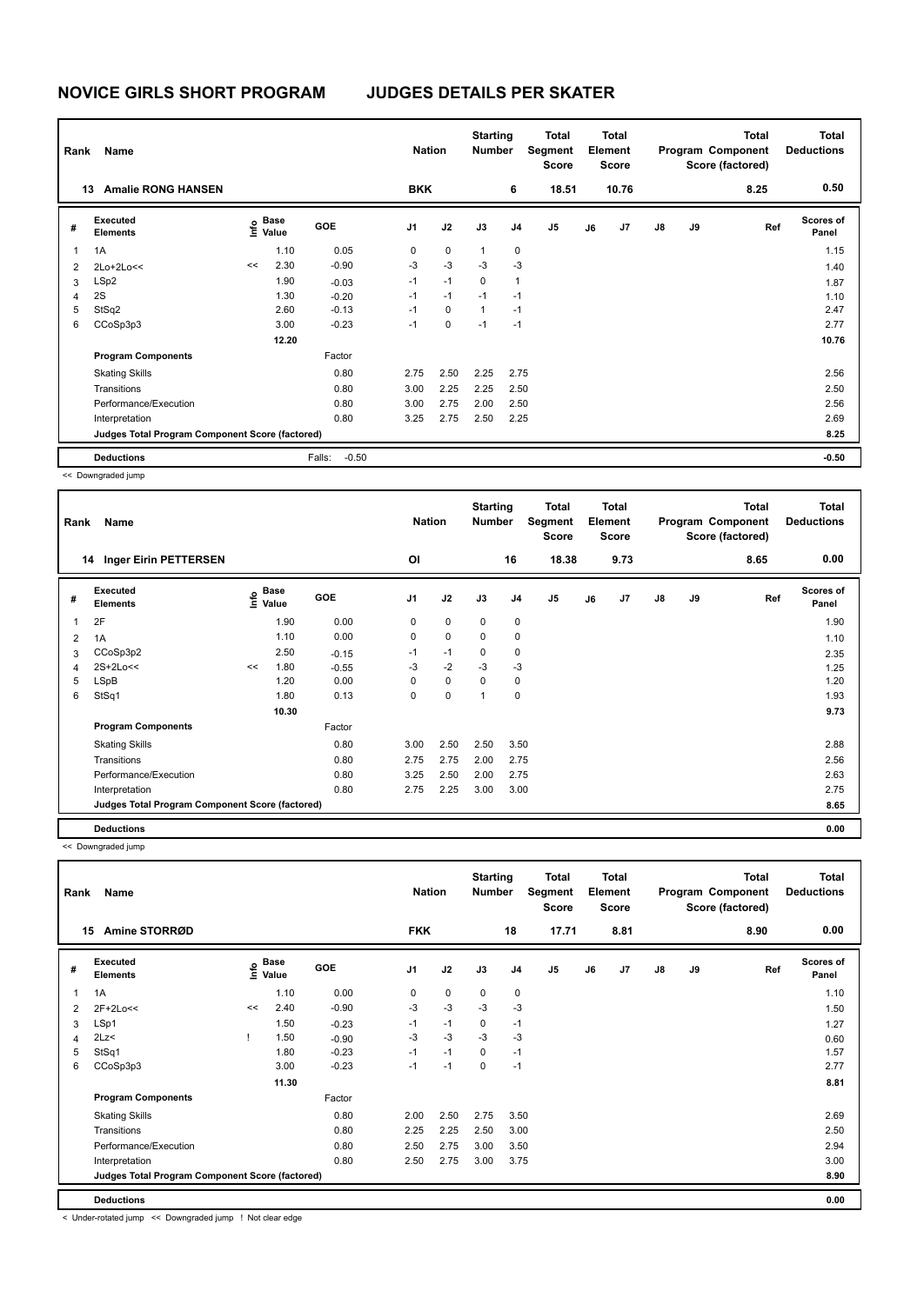| Name<br>Rank   |                                                 |    |                                  |                   | <b>Nation</b>  | <b>Starting</b><br><b>Number</b> |              | <b>Total</b><br>Segment<br><b>Score</b> | <b>Total</b><br>Element<br><b>Score</b><br>10.76 |    | Program Component |               | Total<br>Score (factored) | <b>Total</b><br><b>Deductions</b> |                           |
|----------------|-------------------------------------------------|----|----------------------------------|-------------------|----------------|----------------------------------|--------------|-----------------------------------------|--------------------------------------------------|----|-------------------|---------------|---------------------------|-----------------------------------|---------------------------|
|                | <b>Amalie RONG HANSEN</b><br>13                 |    |                                  |                   | <b>BKK</b>     |                                  |              | 6                                       | 18.51                                            |    |                   |               |                           | 8.25                              | 0.50                      |
| #              | Executed<br><b>Elements</b>                     |    | <b>Base</b><br>e Base<br>⊆ Value | GOE               | J <sub>1</sub> | J2                               | J3           | J <sub>4</sub>                          | J <sub>5</sub>                                   | J6 | J7                | $\mathsf{J}8$ | J9                        | Ref                               | <b>Scores of</b><br>Panel |
| $\overline{1}$ | 1A                                              |    | 1.10                             | 0.05              | 0              | $\mathbf 0$                      | $\mathbf{1}$ | $\mathbf 0$                             |                                                  |    |                   |               |                           |                                   | 1.15                      |
| $\overline{2}$ | 2Lo+2Lo<<                                       | << | 2.30                             | $-0.90$           | $-3$           | $-3$                             | $-3$         | $-3$                                    |                                                  |    |                   |               |                           |                                   | 1.40                      |
| 3              | LSp2                                            |    | 1.90                             | $-0.03$           | $-1$           | $-1$                             | $\Omega$     | 1                                       |                                                  |    |                   |               |                           |                                   | 1.87                      |
| 4              | 2S                                              |    | 1.30                             | $-0.20$           | $-1$           | $-1$                             | $-1$         | $-1$                                    |                                                  |    |                   |               |                           |                                   | 1.10                      |
| 5              | StSq2                                           |    | 2.60                             | $-0.13$           | $-1$           | $\mathbf 0$                      | $\mathbf{1}$ | $-1$                                    |                                                  |    |                   |               |                           |                                   | 2.47                      |
| 6              | CCoSp3p3                                        |    | 3.00                             | $-0.23$           | $-1$           | 0                                | $-1$         | $-1$                                    |                                                  |    |                   |               |                           |                                   | 2.77                      |
|                |                                                 |    | 12.20                            |                   |                |                                  |              |                                         |                                                  |    |                   |               |                           |                                   | 10.76                     |
|                | <b>Program Components</b>                       |    |                                  | Factor            |                |                                  |              |                                         |                                                  |    |                   |               |                           |                                   |                           |
|                | <b>Skating Skills</b>                           |    |                                  | 0.80              | 2.75           | 2.50                             | 2.25         | 2.75                                    |                                                  |    |                   |               |                           |                                   | 2.56                      |
|                | Transitions                                     |    |                                  | 0.80              | 3.00           | 2.25                             | 2.25         | 2.50                                    |                                                  |    |                   |               |                           |                                   | 2.50                      |
|                | Performance/Execution                           |    |                                  | 0.80              | 3.00           | 2.75                             | 2.00         | 2.50                                    |                                                  |    |                   |               |                           |                                   | 2.56                      |
|                | Interpretation                                  |    |                                  | 0.80              | 3.25           | 2.75                             | 2.50         | 2.25                                    |                                                  |    |                   |               |                           |                                   | 2.69                      |
|                | Judges Total Program Component Score (factored) |    |                                  |                   |                |                                  |              |                                         |                                                  |    |                   |               |                           |                                   | 8.25                      |
|                | <b>Deductions</b>                               |    |                                  | Falls:<br>$-0.50$ |                |                                  |              |                                         |                                                  |    |                   |               |                           |                                   | $-0.50$                   |

<< Downgraded jump

| Name<br>Rank |                                                 |    |                   |            | <b>Nation</b>  | <b>Starting</b><br><b>Number</b> |             | Total<br>Segment<br><b>Score</b> | <b>Total</b><br>Element<br><b>Score</b> |    | Program Component |               | <b>Total</b><br>Score (factored) | Total<br><b>Deductions</b> |                           |
|--------------|-------------------------------------------------|----|-------------------|------------|----------------|----------------------------------|-------------|----------------------------------|-----------------------------------------|----|-------------------|---------------|----------------------------------|----------------------------|---------------------------|
|              | <b>Inger Eirin PETTERSEN</b><br>14              |    |                   |            | OI             |                                  |             | 16                               | 18.38                                   |    | 9.73              |               |                                  | 8.65                       | 0.00                      |
| #            | Executed<br><b>Elements</b>                     |    | e Base<br>E Value | <b>GOE</b> | J <sub>1</sub> | J2                               | J3          | J <sub>4</sub>                   | J <sub>5</sub>                          | J6 | J7                | $\mathsf{J}8$ | J9                               | Ref                        | <b>Scores of</b><br>Panel |
| $\mathbf{1}$ | 2F                                              |    | 1.90              | 0.00       | 0              | $\mathbf 0$                      | 0           | 0                                |                                         |    |                   |               |                                  |                            | 1.90                      |
| 2            | 1A                                              |    | 1.10              | 0.00       | 0              | $\mathbf 0$                      | $\mathbf 0$ | 0                                |                                         |    |                   |               |                                  |                            | 1.10                      |
| 3            | CCoSp3p2                                        |    | 2.50              | $-0.15$    | $-1$           | $-1$                             | $\mathbf 0$ | 0                                |                                         |    |                   |               |                                  |                            | 2.35                      |
| 4            | 2S+2Lo<<                                        | << | 1.80              | $-0.55$    | -3             | $-2$                             | $-3$        | $-3$                             |                                         |    |                   |               |                                  |                            | 1.25                      |
| 5            | LSpB                                            |    | 1.20              | 0.00       | 0              | 0                                | 0           | 0                                |                                         |    |                   |               |                                  |                            | 1.20                      |
| 6            | StSq1                                           |    | 1.80              | 0.13       | 0              | $\mathbf 0$                      | и           | 0                                |                                         |    |                   |               |                                  |                            | 1.93                      |
|              |                                                 |    | 10.30             |            |                |                                  |             |                                  |                                         |    |                   |               |                                  |                            | 9.73                      |
|              | <b>Program Components</b>                       |    |                   | Factor     |                |                                  |             |                                  |                                         |    |                   |               |                                  |                            |                           |
|              | <b>Skating Skills</b>                           |    |                   | 0.80       | 3.00           | 2.50                             | 2.50        | 3.50                             |                                         |    |                   |               |                                  |                            | 2.88                      |
|              | Transitions                                     |    |                   | 0.80       | 2.75           | 2.75                             | 2.00        | 2.75                             |                                         |    |                   |               |                                  |                            | 2.56                      |
|              | Performance/Execution                           |    |                   | 0.80       | 3.25           | 2.50                             | 2.00        | 2.75                             |                                         |    |                   |               |                                  |                            | 2.63                      |
|              | Interpretation                                  |    |                   | 0.80       | 2.75           | 2.25                             | 3.00        | 3.00                             |                                         |    |                   |               |                                  |                            | 2.75                      |
|              | Judges Total Program Component Score (factored) |    |                   |            |                |                                  |             |                                  |                                         |    |                   |               |                                  |                            | 8.65                      |
|              | <b>Deductions</b>                               |    |                   |            |                |                                  |             |                                  |                                         |    |                   |               |                                  |                            | 0.00                      |

<< Downgraded jump

| Rank | Name                                            |    | <b>Nation</b>                      |            | <b>Starting</b><br><b>Number</b> |      | <b>Total</b><br>Segment<br><b>Score</b> | <b>Total</b><br>Element<br><b>Score</b> |                |    |      | <b>Total</b><br>Program Component<br>Score (factored) | <b>Total</b><br><b>Deductions</b> |      |                           |
|------|-------------------------------------------------|----|------------------------------------|------------|----------------------------------|------|-----------------------------------------|-----------------------------------------|----------------|----|------|-------------------------------------------------------|-----------------------------------|------|---------------------------|
| 15   | Amine STORRØD                                   |    |                                    |            | <b>FKK</b>                       |      |                                         | 18                                      | 17.71          |    | 8.81 |                                                       |                                   | 8.90 | 0.00                      |
| #    | <b>Executed</b><br><b>Elements</b>              |    | <b>Base</b><br>$\frac{6}{5}$ Value | <b>GOE</b> | J <sub>1</sub>                   | J2   | J3                                      | J <sub>4</sub>                          | J <sub>5</sub> | J6 | J7   | $\mathsf{J}8$                                         | J9                                | Ref  | <b>Scores of</b><br>Panel |
| 1    | 1A                                              |    | 1.10                               | 0.00       | 0                                | 0    | 0                                       | 0                                       |                |    |      |                                                       |                                   |      | 1.10                      |
| 2    | 2F+2Lo<<                                        | << | 2.40                               | $-0.90$    | $-3$                             | $-3$ | $-3$                                    | $-3$                                    |                |    |      |                                                       |                                   |      | 1.50                      |
| 3    | LSp1                                            |    | 1.50                               | $-0.23$    | $-1$                             | $-1$ | 0                                       | -1                                      |                |    |      |                                                       |                                   |      | 1.27                      |
| 4    | 2Lz                                             |    | 1.50                               | $-0.90$    | -3                               | $-3$ | $-3$                                    | $-3$                                    |                |    |      |                                                       |                                   |      | 0.60                      |
| 5    | StSq1                                           |    | 1.80                               | $-0.23$    | $-1$                             | $-1$ | $\mathbf 0$                             | $-1$                                    |                |    |      |                                                       |                                   |      | 1.57                      |
| 6    | CCoSp3p3                                        |    | 3.00                               | $-0.23$    | $-1$                             | $-1$ | 0                                       | $-1$                                    |                |    |      |                                                       |                                   |      | 2.77                      |
|      |                                                 |    | 11.30                              |            |                                  |      |                                         |                                         |                |    |      |                                                       |                                   |      | 8.81                      |
|      | <b>Program Components</b>                       |    |                                    | Factor     |                                  |      |                                         |                                         |                |    |      |                                                       |                                   |      |                           |
|      | <b>Skating Skills</b>                           |    |                                    | 0.80       | 2.00                             | 2.50 | 2.75                                    | 3.50                                    |                |    |      |                                                       |                                   |      | 2.69                      |
|      | Transitions                                     |    |                                    | 0.80       | 2.25                             | 2.25 | 2.50                                    | 3.00                                    |                |    |      |                                                       |                                   |      | 2.50                      |
|      | Performance/Execution                           |    |                                    | 0.80       | 2.50                             | 2.75 | 3.00                                    | 3.50                                    |                |    |      |                                                       |                                   |      | 2.94                      |
|      | Interpretation                                  |    |                                    | 0.80       | 2.50                             | 2.75 | 3.00                                    | 3.75                                    |                |    |      |                                                       |                                   |      | 3.00                      |
|      | Judges Total Program Component Score (factored) |    |                                    |            |                                  |      |                                         |                                         |                |    |      |                                                       |                                   |      | 8.90                      |
|      | <b>Deductions</b>                               |    |                                    |            |                                  |      |                                         |                                         |                |    |      |                                                       |                                   |      | 0.00                      |

< Under-rotated jump << Downgraded jump ! Not clear edge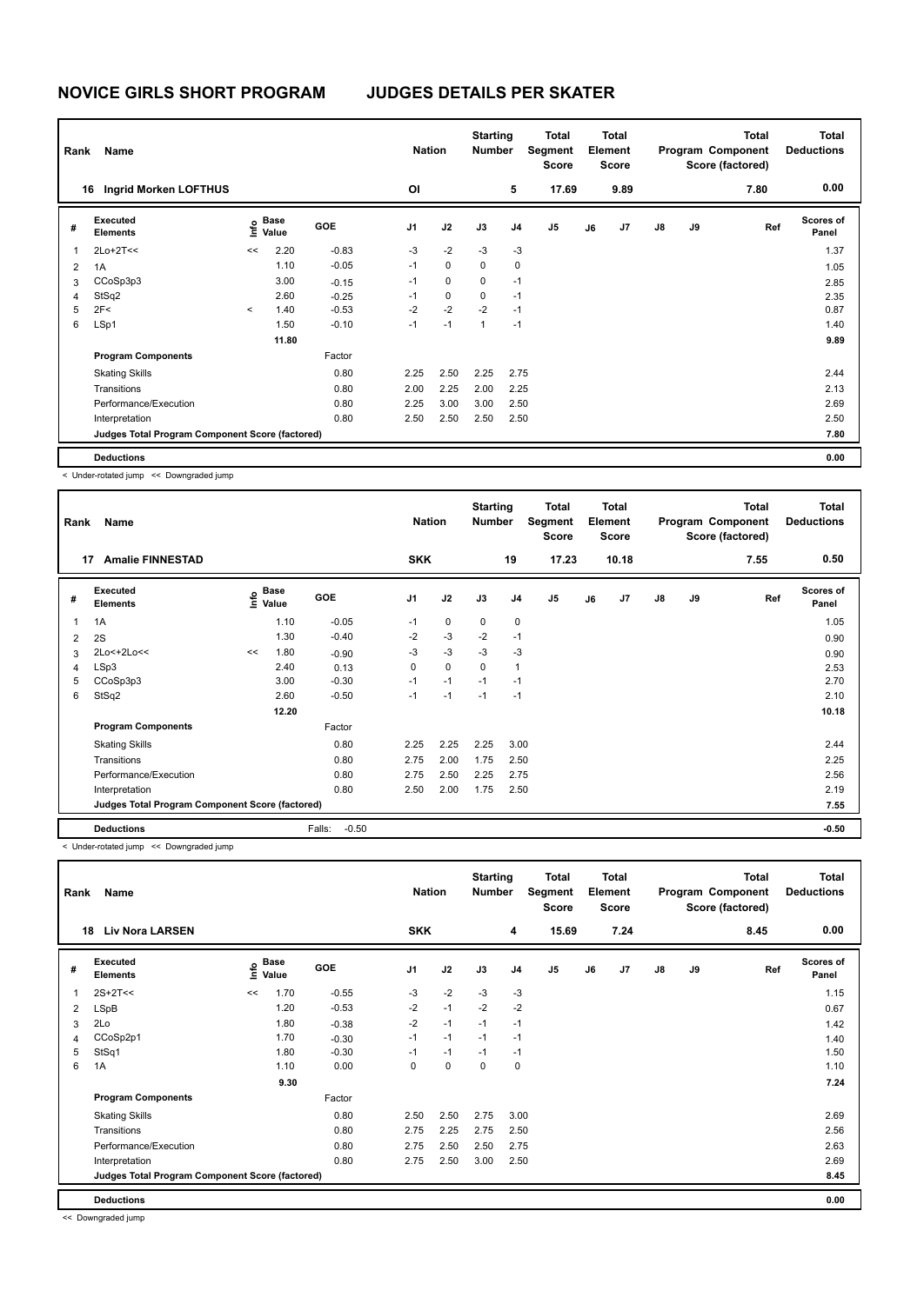| Rank | Name                                            |         | <b>Nation</b>                               | <b>Starting</b><br><b>Number</b> |      | <b>Total</b><br>Segment<br><b>Score</b> | <b>Total</b><br>Element<br><b>Score</b> |                | Program Component |    | <b>Total</b><br>Score (factored) | <b>Total</b><br><b>Deductions</b> |    |      |                           |
|------|-------------------------------------------------|---------|---------------------------------------------|----------------------------------|------|-----------------------------------------|-----------------------------------------|----------------|-------------------|----|----------------------------------|-----------------------------------|----|------|---------------------------|
|      | <b>Ingrid Morken LOFTHUS</b><br>16              |         |                                             |                                  | OI   |                                         |                                         | 5              | 17.69             |    | 9.89                             |                                   |    | 7.80 | 0.00                      |
| #    | <b>Executed</b><br><b>Elements</b>              |         | <b>Base</b><br>e <sup>Base</sup><br>⊆ Value | <b>GOE</b>                       | J1   | J2                                      | J3                                      | J <sub>4</sub> | J <sub>5</sub>    | J6 | J7                               | $\mathsf{J}8$                     | J9 | Ref  | <b>Scores of</b><br>Panel |
| 1    | $2Lo+2T<<$                                      | <<      | 2.20                                        | $-0.83$                          | $-3$ | $-2$                                    | $-3$                                    | $-3$           |                   |    |                                  |                                   |    |      | 1.37                      |
| 2    | 1A                                              |         | 1.10                                        | $-0.05$                          | $-1$ | 0                                       | 0                                       | 0              |                   |    |                                  |                                   |    |      | 1.05                      |
| 3    | CCoSp3p3                                        |         | 3.00                                        | $-0.15$                          | $-1$ | $\mathbf 0$                             | 0                                       | $-1$           |                   |    |                                  |                                   |    |      | 2.85                      |
| 4    | StSq2                                           |         | 2.60                                        | $-0.25$                          | $-1$ | $\mathbf 0$                             | 0                                       | $-1$           |                   |    |                                  |                                   |    |      | 2.35                      |
| 5    | 2F<                                             | $\prec$ | 1.40                                        | $-0.53$                          | $-2$ | $-2$                                    | $-2$                                    | $-1$           |                   |    |                                  |                                   |    |      | 0.87                      |
| 6    | LSp1                                            |         | 1.50                                        | $-0.10$                          | $-1$ | $-1$                                    | $\mathbf{1}$                            | $-1$           |                   |    |                                  |                                   |    |      | 1.40                      |
|      |                                                 |         | 11.80                                       |                                  |      |                                         |                                         |                |                   |    |                                  |                                   |    |      | 9.89                      |
|      | <b>Program Components</b>                       |         |                                             | Factor                           |      |                                         |                                         |                |                   |    |                                  |                                   |    |      |                           |
|      | <b>Skating Skills</b>                           |         |                                             | 0.80                             | 2.25 | 2.50                                    | 2.25                                    | 2.75           |                   |    |                                  |                                   |    |      | 2.44                      |
|      | Transitions                                     |         |                                             | 0.80                             | 2.00 | 2.25                                    | 2.00                                    | 2.25           |                   |    |                                  |                                   |    |      | 2.13                      |
|      | Performance/Execution                           |         |                                             | 0.80                             | 2.25 | 3.00                                    | 3.00                                    | 2.50           |                   |    |                                  |                                   |    |      | 2.69                      |
|      | Interpretation                                  |         |                                             | 0.80                             | 2.50 | 2.50                                    | 2.50                                    | 2.50           |                   |    |                                  |                                   |    |      | 2.50                      |
|      | Judges Total Program Component Score (factored) |         |                                             |                                  |      |                                         |                                         |                |                   |    |                                  |                                   |    |      | 7.80                      |
|      | <b>Deductions</b>                               |         |                                             |                                  |      |                                         |                                         |                |                   |    |                                  |                                   |    |      | 0.00                      |

< Under-rotated jump << Downgraded jump

|                | Name<br>Rank                                    |    |                                             |                   |                | <b>Nation</b> |             |                | Total<br>Segment<br><b>Score</b> | <b>Total</b><br>Element<br><b>Score</b> |                |    |    | <b>Total</b><br>Program Component<br>Score (factored) | Total<br><b>Deductions</b> |
|----------------|-------------------------------------------------|----|---------------------------------------------|-------------------|----------------|---------------|-------------|----------------|----------------------------------|-----------------------------------------|----------------|----|----|-------------------------------------------------------|----------------------------|
| 17             | <b>Amalie FINNESTAD</b>                         |    |                                             |                   | <b>SKK</b>     |               |             | 19             | 17.23                            |                                         | 10.18          |    |    | 7.55                                                  | 0.50                       |
| #              | Executed<br><b>Elements</b>                     |    | <b>Base</b><br>e <sup>Base</sup><br>⊆ Value | GOE               | J <sub>1</sub> | J2            | J3          | J <sub>4</sub> | J <sub>5</sub>                   | J6                                      | J <sub>7</sub> | J8 | J9 | Ref                                                   | <b>Scores of</b><br>Panel  |
| $\overline{1}$ | 1A                                              |    | 1.10                                        | $-0.05$           | $-1$           | 0             | 0           | 0              |                                  |                                         |                |    |    |                                                       | 1.05                       |
| $\overline{2}$ | 2S                                              |    | 1.30                                        | $-0.40$           | $-2$           | $-3$          | $-2$        | $-1$           |                                  |                                         |                |    |    |                                                       | 0.90                       |
| 3              | 2Lo<+2Lo<<                                      | << | 1.80                                        | $-0.90$           | $-3$           | $-3$          | $-3$        | $-3$           |                                  |                                         |                |    |    |                                                       | 0.90                       |
| $\overline{4}$ | LSp3                                            |    | 2.40                                        | 0.13              | 0              | $\mathbf 0$   | $\mathbf 0$ | $\overline{1}$ |                                  |                                         |                |    |    |                                                       | 2.53                       |
| 5              | CCoSp3p3                                        |    | 3.00                                        | $-0.30$           | $-1$           | $-1$          | $-1$        | $-1$           |                                  |                                         |                |    |    |                                                       | 2.70                       |
| 6              | StSq2                                           |    | 2.60                                        | $-0.50$           | $-1$           | $-1$          | $-1$        | $-1$           |                                  |                                         |                |    |    |                                                       | 2.10                       |
|                |                                                 |    | 12.20                                       |                   |                |               |             |                |                                  |                                         |                |    |    |                                                       | 10.18                      |
|                | <b>Program Components</b>                       |    |                                             | Factor            |                |               |             |                |                                  |                                         |                |    |    |                                                       |                            |
|                | <b>Skating Skills</b>                           |    |                                             | 0.80              | 2.25           | 2.25          | 2.25        | 3.00           |                                  |                                         |                |    |    |                                                       | 2.44                       |
|                | Transitions                                     |    |                                             | 0.80              | 2.75           | 2.00          | 1.75        | 2.50           |                                  |                                         |                |    |    |                                                       | 2.25                       |
|                | Performance/Execution                           |    |                                             | 0.80              | 2.75           | 2.50          | 2.25        | 2.75           |                                  |                                         |                |    |    |                                                       | 2.56                       |
|                | Interpretation                                  |    |                                             | 0.80              | 2.50           | 2.00          | 1.75        | 2.50           |                                  |                                         |                |    |    |                                                       | 2.19                       |
|                | Judges Total Program Component Score (factored) |    |                                             |                   |                |               |             |                |                                  |                                         |                |    |    |                                                       | 7.55                       |
|                | <b>Deductions</b>                               |    |                                             | $-0.50$<br>Falls: |                |               |             |                |                                  |                                         |                |    |    |                                                       | $-0.50$                    |

< Under-rotated jump << Downgraded jump

| Name<br>Rank |                                                 |      |                      |         | <b>Nation</b>  |             | <b>Starting</b><br><b>Number</b> |                | <b>Total</b><br>Segment<br><b>Score</b> | <b>Total</b><br>Element<br><b>Score</b> |      |               |    | <b>Total</b><br>Program Component<br>Score (factored) | <b>Total</b><br><b>Deductions</b> |
|--------------|-------------------------------------------------|------|----------------------|---------|----------------|-------------|----------------------------------|----------------|-----------------------------------------|-----------------------------------------|------|---------------|----|-------------------------------------------------------|-----------------------------------|
| 18           | <b>Liv Nora LARSEN</b>                          |      |                      |         | <b>SKK</b>     |             |                                  | 4              | 15.69                                   |                                         | 7.24 |               |    | 8.45                                                  | 0.00                              |
| #            | Executed<br><b>Elements</b>                     | ١nf٥ | <b>Base</b><br>Value | GOE     | J <sub>1</sub> | J2          | J3                               | J <sub>4</sub> | J <sub>5</sub>                          | J6                                      | J7   | $\mathsf{J}8$ | J9 | Ref                                                   | Scores of<br>Panel                |
| 1            | $2S+2T<<$                                       | <<   | 1.70                 | $-0.55$ | $-3$           | $-2$        | $-3$                             | $-3$           |                                         |                                         |      |               |    |                                                       | 1.15                              |
| 2            | LSpB                                            |      | 1.20                 | $-0.53$ | $-2$           | $-1$        | $-2$                             | $-2$           |                                         |                                         |      |               |    |                                                       | 0.67                              |
| 3            | 2Lo                                             |      | 1.80                 | $-0.38$ | $-2$           | $-1$        | $-1$                             | $-1$           |                                         |                                         |      |               |    |                                                       | 1.42                              |
| 4            | CCoSp2p1                                        |      | 1.70                 | $-0.30$ | $-1$           | $-1$        | $-1$                             | $-1$           |                                         |                                         |      |               |    |                                                       | 1.40                              |
| 5            | StSq1                                           |      | 1.80                 | $-0.30$ | $-1$           | $-1$        | $-1$                             | $-1$           |                                         |                                         |      |               |    |                                                       | 1.50                              |
| 6            | 1A                                              |      | 1.10                 | 0.00    | 0              | $\mathbf 0$ | 0                                | 0              |                                         |                                         |      |               |    |                                                       | 1.10                              |
|              |                                                 |      | 9.30                 |         |                |             |                                  |                |                                         |                                         |      |               |    |                                                       | 7.24                              |
|              | <b>Program Components</b>                       |      |                      | Factor  |                |             |                                  |                |                                         |                                         |      |               |    |                                                       |                                   |
|              | <b>Skating Skills</b>                           |      |                      | 0.80    | 2.50           | 2.50        | 2.75                             | 3.00           |                                         |                                         |      |               |    |                                                       | 2.69                              |
|              | Transitions                                     |      |                      | 0.80    | 2.75           | 2.25        | 2.75                             | 2.50           |                                         |                                         |      |               |    |                                                       | 2.56                              |
|              | Performance/Execution                           |      |                      | 0.80    | 2.75           | 2.50        | 2.50                             | 2.75           |                                         |                                         |      |               |    |                                                       | 2.63                              |
|              | Interpretation                                  |      |                      | 0.80    | 2.75           | 2.50        | 3.00                             | 2.50           |                                         |                                         |      |               |    |                                                       | 2.69                              |
|              | Judges Total Program Component Score (factored) |      |                      |         |                |             |                                  |                |                                         |                                         |      |               |    |                                                       | 8.45                              |
|              | <b>Deductions</b>                               |      |                      |         |                |             |                                  |                |                                         |                                         |      |               |    |                                                       | 0.00                              |

<< Downgraded jump